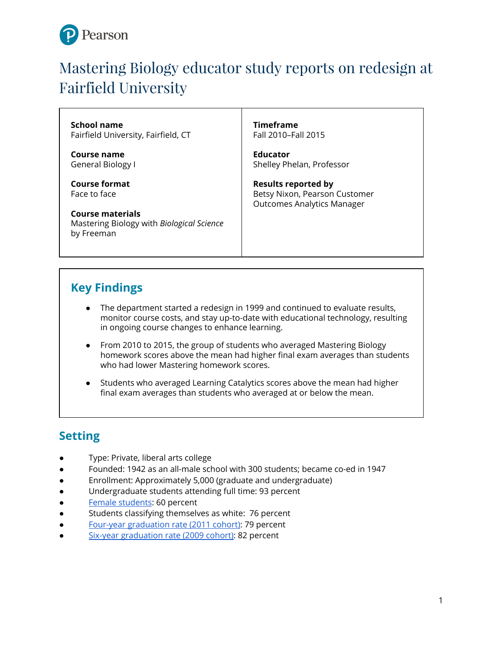

# Mastering Biology educator study reports on redesign at Fairfield University

**School name** Fairfield University, Fairfield, CT

**Course name** General Biology I

**Course format** Face to face

**Course materials** Mastering Biology with *Biological Science* by Freeman

**Timeframe** Fall 2010–Fall 2015

**Educator** Shelley Phelan, Professor

**Results reported by** Betsy Nixon, Pearson Customer Outcomes Analytics Manager

# **Key Findings**

- The department started a redesign in 1999 and continued to evaluate results, monitor course costs, and stay up-to-date with educational technology, resulting in ongoing course changes to enhance learning.
- From 2010 to 2015, the group of students who averaged Mastering Biology homework scores above the mean had higher final exam averages than students who had lower Mastering homework scores.
- Students who averaged Learning Catalytics scores above the mean had higher final exam averages than students who averaged at or below the mean.

# **Setting**

- Type: Private, liberal arts college
- Founded: 1942 as an all-male school with 300 students; became co-ed in 1947
- Enrollment: Approximately 5,000 (graduate and undergraduate)
- Undergraduate students attending full time: 93 percent
- Female [students:](https://www.fairfield.edu/media/fairfielduniversitywebsite/documents/admission/uga_Fairfield_At_A_Glance_9_15.pdf) 60 percent
- Students classifying themselves as white: 76 percent
- Four-year [graduation](https://www.fairfield.edu/media/fairfielduniversitywebsite/documents/about/0000_about_consumer-information_retention-graduation-rates.pdf) rate (2011 cohort): 79 percent
- Six-year [graduation](https://www.fairfield.edu/media/fairfielduniversitywebsite/documents/about/0000_about_consumer-information_retention-graduation-rates.pdf) rate (2009 cohort)[:](https://www.fairfield.edu/media/fairfielduniversitywebsite/documents/about/0000_about_consumer-information_retention-graduation-rates.pdf) [82](https://www.fairfield.edu/media/fairfielduniversitywebsite/documents/about/0000_about_consumer-information_retention-graduation-rates.pdf) [pe](https://www.fairfield.edu/media/fairfielduniversitywebsite/documents/about/0000_about_consumer-information_retention-graduation-rates.pdf)r[cent](https://www.fairfield.edu/media/fairfielduniversitywebsite/documents/about/0000_about_consumer-information_retention-graduation-rates.pdf)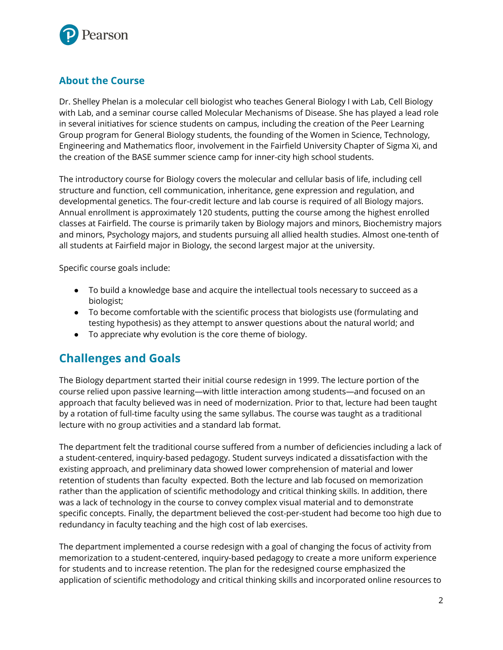

#### **About the Course**

Dr. Shelley Phelan is a molecular cell biologist who teaches General Biology I with Lab, Cell Biology with Lab, and a seminar course called Molecular Mechanisms of Disease. She has played a lead role in several initiatives for science students on campus, including the creation of the Peer Learning Group program for General Biology students, the founding of the Women in Science, Technology, Engineering and Mathematics floor, involvement in the Fairfield University Chapter of Sigma Xi, and the creation of the BASE summer science camp for inner-city high school students.

The introductory course for Biology covers the molecular and cellular basis of life, including cell structure and function, cell communication, inheritance, gene expression and regulation, and developmental genetics. The four-credit lecture and lab course is required of all Biology majors. Annual enrollment is approximately 120 students, putting the course among the highest enrolled classes at Fairfield. The course is primarily taken by Biology majors and minors, Biochemistry majors and minors, Psychology majors, and students pursuing all allied health studies. Almost one-tenth of all students at Fairfield major in Biology, the second largest major at the university.

Specific course goals include:

- To build a knowledge base and acquire the intellectual tools necessary to succeed as a biologist;
- To become comfortable with the scientific process that biologists use (formulating and testing hypothesis) as they attempt to answer questions about the natural world; and
- To appreciate why evolution is the core theme of biology.

# **Challenges and Goals**

The Biology department started their initial course redesign in 1999. The lecture portion of the course relied upon passive learning—with little interaction among students—and focused on an approach that faculty believed was in need of modernization. Prior to that, lecture had been taught by a rotation of full-time faculty using the same syllabus. The course was taught as a traditional lecture with no group activities and a standard lab format.

The department felt the traditional course suffered from a number of deficiencies including a lack of a student-centered, inquiry-based pedagogy. Student surveys indicated a dissatisfaction with the existing approach, and preliminary data showed lower comprehension of material and lower retention of students than faculty expected. Both the lecture and lab focused on memorization rather than the application of scientific methodology and critical thinking skills. In addition, there was a lack of technology in the course to convey complex visual material and to demonstrate specific concepts. Finally, the department believed the cost-per-student had become too high due to redundancy in faculty teaching and the high cost of lab exercises.

The department implemented a course redesign with a goal of changing the focus of activity from memorization to a student-centered, inquiry-based pedagogy to create a more uniform experience for students and to increase retention. The plan for the redesigned course emphasized the application of scientific methodology and critical thinking skills and incorporated online resources to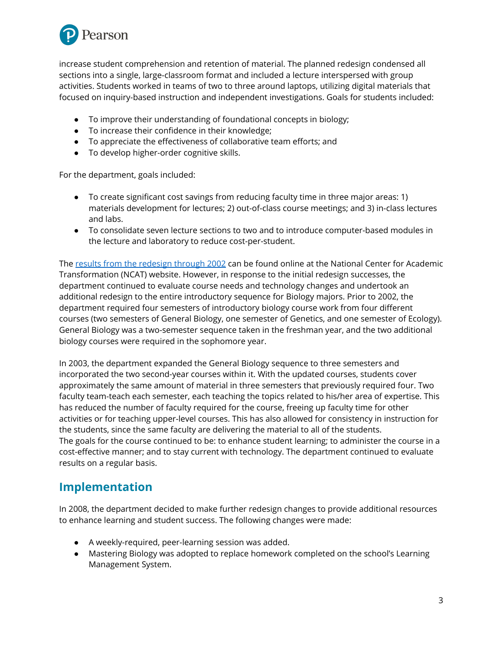

increase student comprehension and retention of material. The planned redesign condensed all sections into a single, large-classroom format and included a lecture interspersed with group activities. Students worked in teams of two to three around laptops, utilizing digital materials that focused on inquiry-based instruction and independent investigations. Goals for students included:

- To improve their understanding of foundational concepts in biology;
- To increase their confidence in their knowledge;
- To appreciate the effectiveness of collaborative team efforts; and
- To develop higher-order cognitive skills.

For the department, goals included:

- To create significant cost savings from reducing faculty time in three major areas: 1) materials development for lectures; 2) out-of-class course meetings; and 3) in-class lectures and labs.
- To consolidate seven lecture sections to two and to introduce computer-based modules in the lecture and laboratory to reduce cost-per-student.

The results from the [redesign](http://www.thencat.org/PCR/R2/FU/FU_Home.htm) through 2002 can be found online at the National Center for Academic Transformation (NCAT) website. However, in response to the initial redesign successes, the department continued to evaluate course needs and technology changes and undertook an additional redesign to the entire introductory sequence for Biology majors. Prior to 2002, the department required four semesters of introductory biology course work from four different courses (two semesters of General Biology, one semester of Genetics, and one semester of Ecology). General Biology was a two-semester sequence taken in the freshman year, and the two additional biology courses were required in the sophomore year.

In 2003, the department expanded the General Biology sequence to three semesters and incorporated the two second-year courses within it. With the updated courses, students cover approximately the same amount of material in three semesters that previously required four. Two faculty team-teach each semester, each teaching the topics related to his/her area of expertise. This has reduced the number of faculty required for the course, freeing up faculty time for other activities or for teaching upper-level courses. This has also allowed for consistency in instruction for the students, since the same faculty are delivering the material to all of the students. The goals for the course continued to be: to enhance student learning; to administer the course in a cost-effective manner; and to stay current with technology. The department continued to evaluate results on a regular basis.

#### **Implementation**

In 2008, the department decided to make further redesign changes to provide additional resources to enhance learning and student success. The following changes were made:

- A weekly-required, peer-learning session was added.
- Mastering Biology was adopted to replace homework completed on the school's Learning Management System.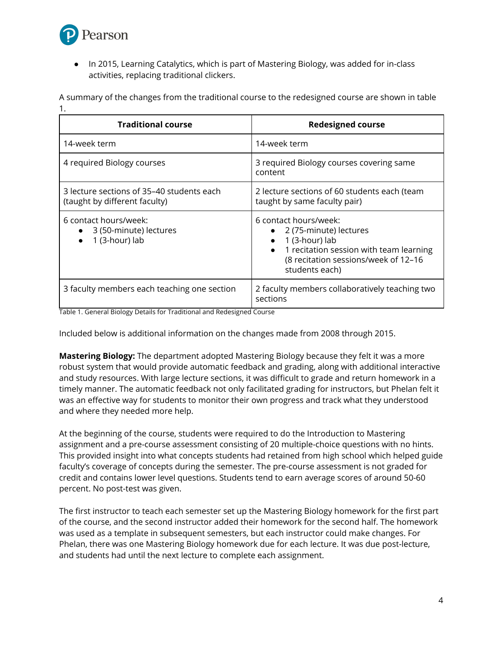

● In 2015, Learning Catalytics, which is part of Mastering Biology, was added for in-class activities, replacing traditional clickers.

| <b>Traditional course</b>                                                  | <b>Redesigned course</b>                                                     |
|----------------------------------------------------------------------------|------------------------------------------------------------------------------|
| 14-week term                                                               | 14-week term                                                                 |
| 4 required Biology courses                                                 | 3 required Biology courses covering same<br>content                          |
| 3 lecture sections of 35–40 students each<br>(taught by different faculty) | 2 lecture sections of 60 students each (team<br>taught by same faculty pair) |
| 6 contact hours/week:<br>• 3 (50-minute) lectures                          | 6 contact hours/week:<br>• 2 (75-minute) lectures                            |

A summary of the changes from the traditional course to the redesigned course are shown in table 1.

|                                             | • 1 recitation session with team learning<br>(8 recitation sessions/week of 12-16<br>students each) |
|---------------------------------------------|-----------------------------------------------------------------------------------------------------|
| 3 faculty members each teaching one section | 2 faculty members collaboratively teaching two<br>sections                                          |

● 1 (3-hour) lab

Table 1. General Biology Details for Traditional and Redesigned Course

1 (3-hour) lab

Included below is additional information on the changes made from 2008 through 2015.

**Mastering Biology:** The department adopted Mastering Biology because they felt it was a more robust system that would provide automatic feedback and grading, along with additional interactive and study resources. With large lecture sections, it was difficult to grade and return homework in a timely manner. The automatic feedback not only facilitated grading for instructors, but Phelan felt it was an effective way for students to monitor their own progress and track what they understood and where they needed more help.

At the beginning of the course, students were required to do the Introduction to Mastering assignment and a pre-course assessment consisting of 20 multiple-choice questions with no hints. This provided insight into what concepts students had retained from high school which helped guide faculty's coverage of concepts during the semester. The pre-course assessment is not graded for credit and contains lower level questions. Students tend to earn average scores of around 50-60 percent. No post-test was given.

The first instructor to teach each semester set up the Mastering Biology homework for the first part of the course, and the second instructor added their homework for the second half. The homework was used as a template in subsequent semesters, but each instructor could make changes. For Phelan, there was one Mastering Biology homework due for each lecture. It was due post-lecture, and students had until the next lecture to complete each assignment.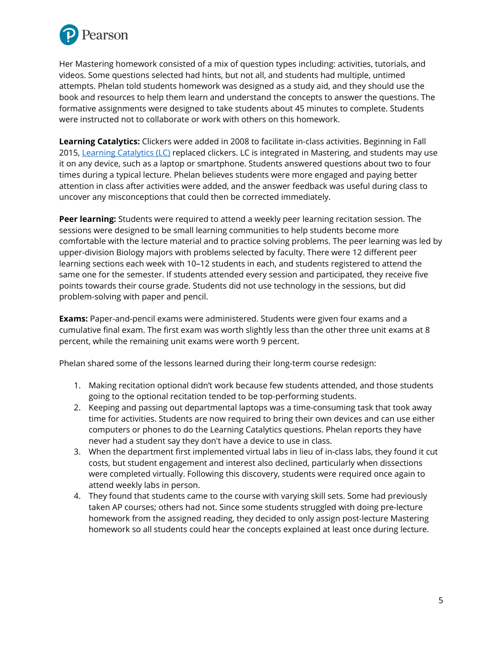

Her Mastering homework consisted of a mix of question types including: activities, tutorials, and videos. Some questions selected had hints, but not all, and students had multiple, untimed attempts. Phelan told students homework was designed as a study aid, and they should use the book and resources to help them learn and understand the concepts to answer the questions. The formative assignments were designed to take students about 45 minutes to complete. Students were instructed not to collaborate or work with others on this homework.

**Learning Catalytics:** Clickers were added in 2008 to facilitate in-class activities. Beginning in Fall 2015, Learning [Catalytics](https://www.pearson.com/us/higher-education/products-services-teaching/learning-engagement-tools/learning-catalytics.html) (LC) replaced clickers. LC is integrated in Mastering, and students may use it on any device, such as a laptop or smartphone. Students answered questions about two to four times during a typical lecture. Phelan believes students were more engaged and paying better attention in class after activities were added, and the answer feedback was useful during class to uncover any misconceptions that could then be corrected immediately.

**Peer learning:** Students were required to attend a weekly peer learning recitation session. The sessions were designed to be small learning communities to help students become more comfortable with the lecture material and to practice solving problems. The peer learning was led by upper-division Biology majors with problems selected by faculty. There were 12 different peer learning sections each week with 10–12 students in each, and students registered to attend the same one for the semester. If students attended every session and participated, they receive five points towards their course grade. Students did not use technology in the sessions, but did problem-solving with paper and pencil.

**Exams:** Paper-and-pencil exams were administered. Students were given four exams and a cumulative final exam. The first exam was worth slightly less than the other three unit exams at 8 percent, while the remaining unit exams were worth 9 percent.

Phelan shared some of the lessons learned during their long-term course redesign:

- 1. Making recitation optional didn't work because few students attended, and those students going to the optional recitation tended to be top-performing students.
- 2. Keeping and passing out departmental laptops was a time-consuming task that took away time for activities. Students are now required to bring their own devices and can use either computers or phones to do the Learning Catalytics questions. Phelan reports they have never had a student say they don't have a device to use in class.
- 3. When the department first implemented virtual labs in lieu of in-class labs, they found it cut costs, but student engagement and interest also declined, particularly when dissections were completed virtually. Following this discovery, students were required once again to attend weekly labs in person.
- 4. They found that students came to the course with varying skill sets. Some had previously taken AP courses; others had not. Since some students struggled with doing pre-lecture homework from the assigned reading, they decided to only assign post-lecture Mastering homework so all students could hear the concepts explained at least once during lecture.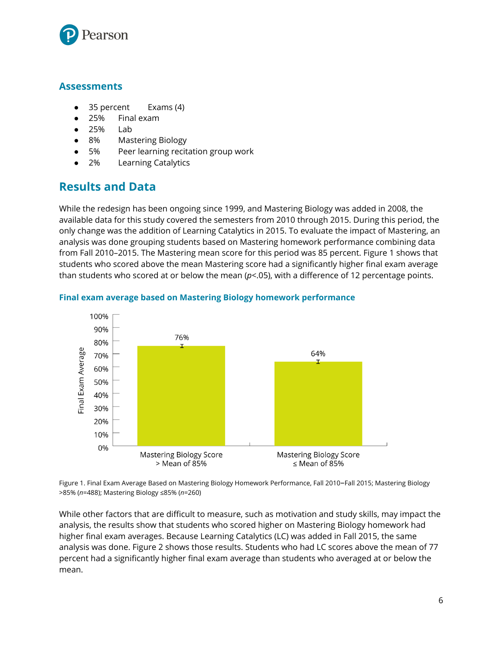

#### **Assessments**

- 35 percent Exams (4)
- 25% Final exam
- 25% Lab
- 8% Mastering Biology
- 5% Peer learning recitation group work
- 2% Learning Catalytics

# **Results and Data**

While the redesign has been ongoing since 1999, and Mastering Biology was added in 2008, the available data for this study covered the semesters from 2010 through 2015. During this period, the only change was the addition of Learning Catalytics in 2015. To evaluate the impact of Mastering, an analysis was done grouping students based on Mastering homework performance combining data from Fall 2010–2015. The Mastering mean score for this period was 85 percent. Figure 1 shows that students who scored above the mean Mastering score had a significantly higher final exam average than students who scored at or below the mean (*p*<.05), with a difference of 12 percentage points.



#### **Final exam average based on Mastering Biology homework performance**

Figure 1. Final Exam Average Based on Mastering Biology Homework Performance, Fall 2010–Fall 2015; Mastering Biology >85% (*n*=488); Mastering Biology ≤85% (*n*=260)

While other factors that are difficult to measure, such as motivation and study skills, may impact the analysis, the results show that students who scored higher on Mastering Biology homework had higher final exam averages. Because Learning Catalytics (LC) was added in Fall 2015, the same analysis was done. Figure 2 shows those results. Students who had LC scores above the mean of 77 percent had a significantly higher final exam average than students who averaged at or below the mean.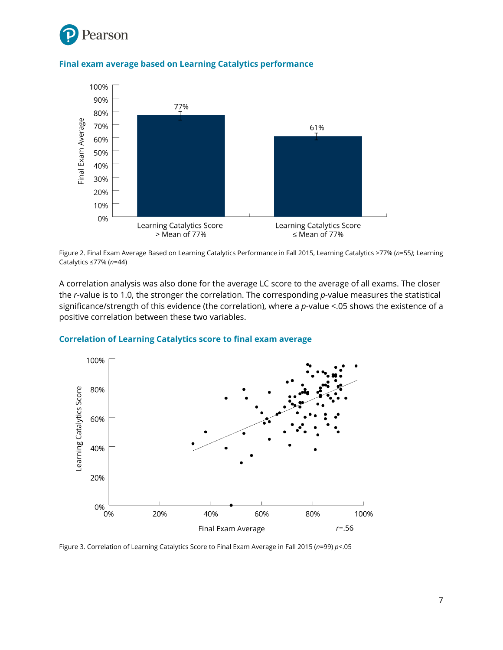



#### **Final exam average based on Learning Catalytics performance**



A correlation analysis was also done for the average LC score to the average of all exams. The closer the *r*-value is to 1.0, the stronger the correlation. The corresponding *p*-value measures the statistical significance/strength of this evidence (the correlation), where a *p*-value <.05 shows the existence of a positive correlation between these two variables.



#### **Correlation of Learning Catalytics score to final exam average**

Figure 3. Correlation of Learning Catalytics Score to Final Exam Average in Fall 2015 (*n*=99) *p*<.05